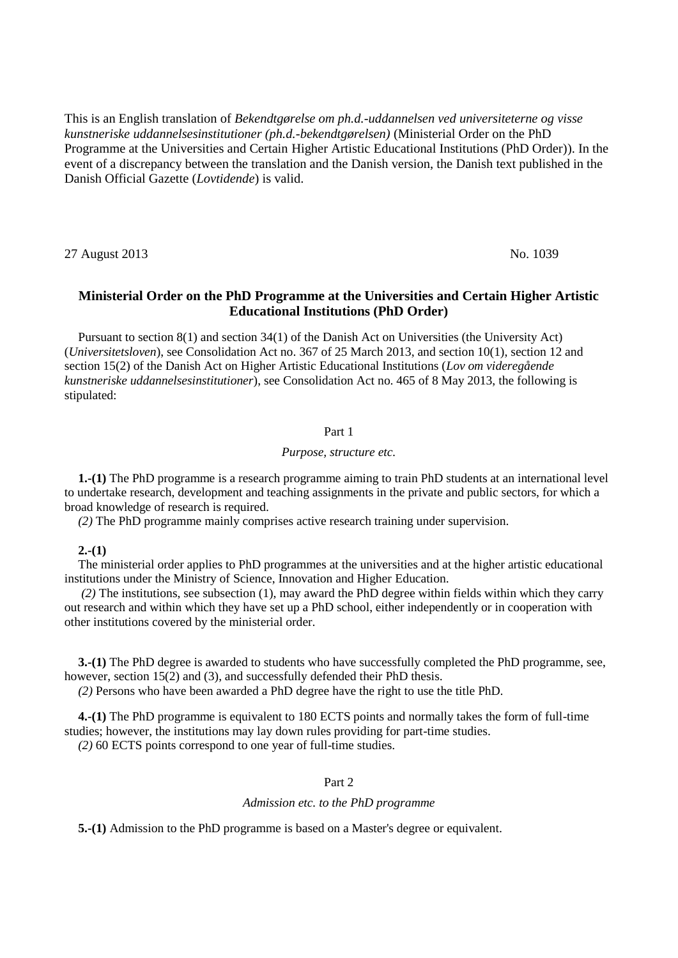This is an English translation of *Bekendtgørelse om ph.d.-uddannelsen ved universiteterne og visse kunstneriske uddannelsesinstitutioner (ph.d.-bekendtgørelsen)* (Ministerial Order on the PhD Programme at the Universities and Certain Higher Artistic Educational Institutions (PhD Order)). In the event of a discrepancy between the translation and the Danish version, the Danish text published in the Danish Official Gazette (*Lovtidende*) is valid.

27 August 2013 No. 1039

# **Ministerial Order on the PhD Programme at the Universities and Certain Higher Artistic Educational Institutions (PhD Order)**

Pursuant to section 8(1) and section 34(1) of the Danish Act on Universities (the University Act) (*Universitetsloven*), see Consolidation Act no. 367 of 25 March 2013, and section 10(1), section 12 and section 15(2) of the Danish Act on Higher Artistic Educational Institutions (*Lov om videregående kunstneriske uddannelsesinstitutioner*), see Consolidation Act no. 465 of 8 May 2013, the following is stipulated:

## Part 1

#### *Purpose, structure etc.*

**1.-(1)** The PhD programme is a research programme aiming to train PhD students at an international level to undertake research, development and teaching assignments in the private and public sectors, for which a broad knowledge of research is required.

*(2)* The PhD programme mainly comprises active research training under supervision.

## **2.-(1)**

The ministerial order applies to PhD programmes at the universities and at the higher artistic educational institutions under the Ministry of Science, Innovation and Higher Education.

*(2)* The institutions, see subsection (1), may award the PhD degree within fields within which they carry out research and within which they have set up a PhD school, either independently or in cooperation with other institutions covered by the ministerial order.

**3.-(1)** The PhD degree is awarded to students who have successfully completed the PhD programme, see, however, section 15(2) and (3), and successfully defended their PhD thesis.

*(2)* Persons who have been awarded a PhD degree have the right to use the title PhD.

**4.-(1)** The PhD programme is equivalent to 180 ECTS points and normally takes the form of full-time studies; however, the institutions may lay down rules providing for part-time studies. *(2)* 60 ECTS points correspond to one year of full-time studies.

### Part 2

## *Admission etc. to the PhD programme*

**5.-(1)** Admission to the PhD programme is based on a Master's degree or equivalent.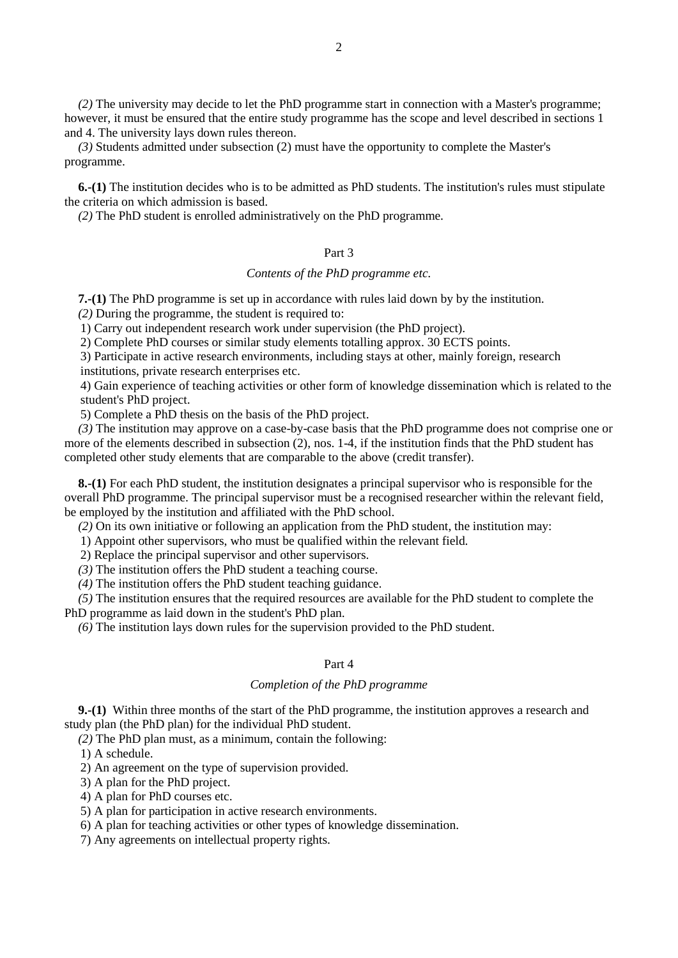*(2)* The university may decide to let the PhD programme start in connection with a Master's programme; however, it must be ensured that the entire study programme has the scope and level described in sections 1 and 4. The university lays down rules thereon.

*(3)* Students admitted under subsection (2) must have the opportunity to complete the Master's programme.

**6.-(1)** The institution decides who is to be admitted as PhD students. The institution's rules must stipulate the criteria on which admission is based.

*(2)* The PhD student is enrolled administratively on the PhD programme.

## Part 3

## *Contents of the PhD programme etc.*

**7.-(1)** The PhD programme is set up in accordance with rules laid down by by the institution.

*(2)* During the programme, the student is required to:

1) Carry out independent research work under supervision (the PhD project).

2) Complete PhD courses or similar study elements totalling approx. 30 ECTS points.

3) Participate in active research environments, including stays at other, mainly foreign, research institutions, private research enterprises etc.

4) Gain experience of teaching activities or other form of knowledge dissemination which is related to the student's PhD project.

5) Complete a PhD thesis on the basis of the PhD project.

*(3)* The institution may approve on a case-by-case basis that the PhD programme does not comprise one or more of the elements described in subsection (2), nos. 1-4, if the institution finds that the PhD student has completed other study elements that are comparable to the above (credit transfer).

**8.-(1)** For each PhD student, the institution designates a principal supervisor who is responsible for the overall PhD programme. The principal supervisor must be a recognised researcher within the relevant field, be employed by the institution and affiliated with the PhD school.

*(2)* On its own initiative or following an application from the PhD student, the institution may:

1) Appoint other supervisors, who must be qualified within the relevant field.

2) Replace the principal supervisor and other supervisors.

*(3)* The institution offers the PhD student a teaching course.

*(4)* The institution offers the PhD student teaching guidance.

*(5)* The institution ensures that the required resources are available for the PhD student to complete the PhD programme as laid down in the student's PhD plan.

*(6)* The institution lays down rules for the supervision provided to the PhD student.

## Part 4

## *Completion of the PhD programme*

**9.-(1)** Within three months of the start of the PhD programme, the institution approves a research and study plan (the PhD plan) for the individual PhD student.

*(2)* The PhD plan must, as a minimum, contain the following:

1) A schedule.

2) An agreement on the type of supervision provided.

3) A plan for the PhD project.

4) A plan for PhD courses etc.

5) A plan for participation in active research environments.

6) A plan for teaching activities or other types of knowledge dissemination.

7) Any agreements on intellectual property rights.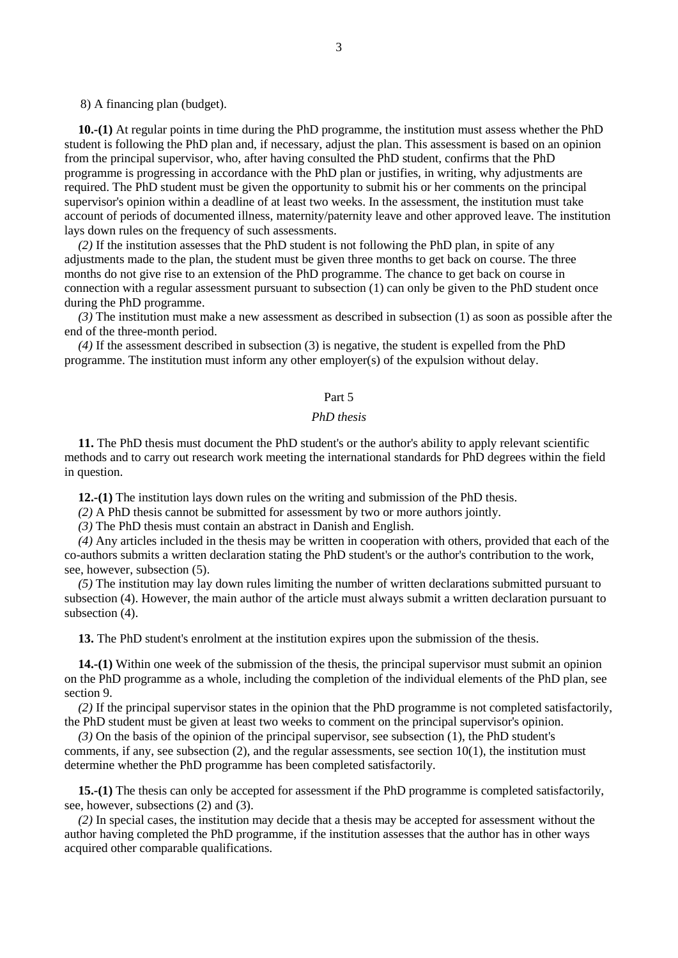8) A financing plan (budget).

**10.-(1)** At regular points in time during the PhD programme, the institution must assess whether the PhD student is following the PhD plan and, if necessary, adjust the plan. This assessment is based on an opinion from the principal supervisor, who, after having consulted the PhD student, confirms that the PhD programme is progressing in accordance with the PhD plan or justifies, in writing, why adjustments are required. The PhD student must be given the opportunity to submit his or her comments on the principal supervisor's opinion within a deadline of at least two weeks. In the assessment, the institution must take account of periods of documented illness, maternity/paternity leave and other approved leave. The institution lays down rules on the frequency of such assessments.

*(2)* If the institution assesses that the PhD student is not following the PhD plan, in spite of any adjustments made to the plan, the student must be given three months to get back on course. The three months do not give rise to an extension of the PhD programme. The chance to get back on course in connection with a regular assessment pursuant to subsection (1) can only be given to the PhD student once during the PhD programme.

*(3)* The institution must make a new assessment as described in subsection (1) as soon as possible after the end of the three-month period.

*(4)* If the assessment described in subsection (3) is negative, the student is expelled from the PhD programme. The institution must inform any other employer(s) of the expulsion without delay.

## Part 5

# *PhD thesis*

**11.** The PhD thesis must document the PhD student's or the author's ability to apply relevant scientific methods and to carry out research work meeting the international standards for PhD degrees within the field in question.

**12.-(1)** The institution lays down rules on the writing and submission of the PhD thesis.

*(2)* A PhD thesis cannot be submitted for assessment by two or more authors jointly.

*(3)* The PhD thesis must contain an abstract in Danish and English.

*(4)* Any articles included in the thesis may be written in cooperation with others, provided that each of the co-authors submits a written declaration stating the PhD student's or the author's contribution to the work, see, however, subsection (5).

*(5)* The institution may lay down rules limiting the number of written declarations submitted pursuant to subsection (4). However, the main author of the article must always submit a written declaration pursuant to subsection (4).

**13.** The PhD student's enrolment at the institution expires upon the submission of the thesis.

**14.-(1)** Within one week of the submission of the thesis, the principal supervisor must submit an opinion on the PhD programme as a whole, including the completion of the individual elements of the PhD plan, see section 9.

*(2)* If the principal supervisor states in the opinion that the PhD programme is not completed satisfactorily, the PhD student must be given at least two weeks to comment on the principal supervisor's opinion.

*(3)* On the basis of the opinion of the principal supervisor, see subsection (1), the PhD student's comments, if any, see subsection  $(2)$ , and the regular assessments, see section  $10(1)$ , the institution must determine whether the PhD programme has been completed satisfactorily.

**15.-(1)** The thesis can only be accepted for assessment if the PhD programme is completed satisfactorily, see, however, subsections (2) and (3).

*(2)* In special cases, the institution may decide that a thesis may be accepted for assessment without the author having completed the PhD programme, if the institution assesses that the author has in other ways acquired other comparable qualifications.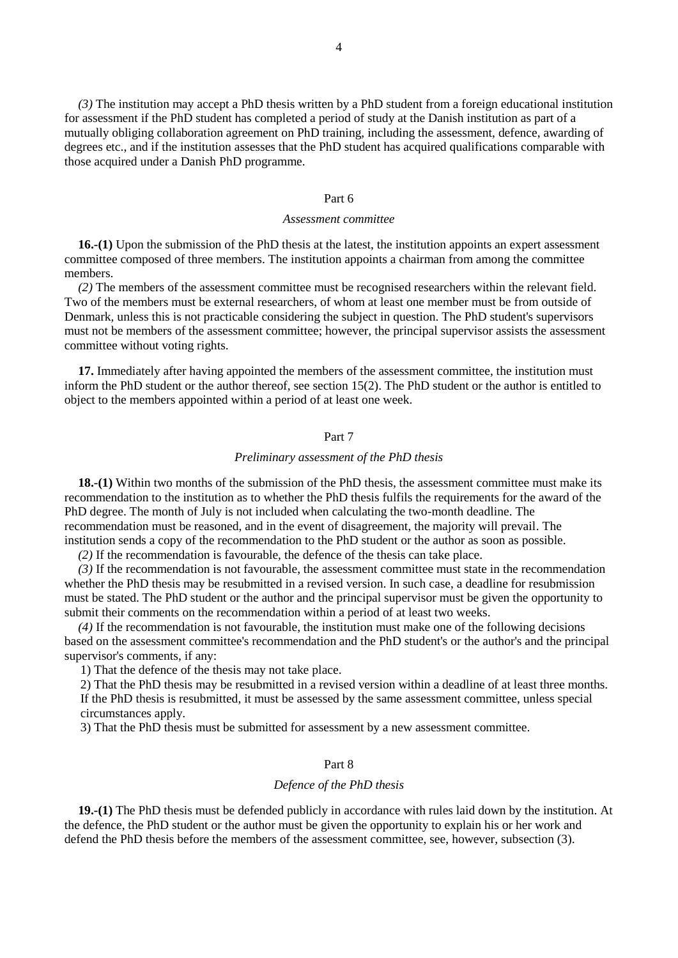*(3)* The institution may accept a PhD thesis written by a PhD student from a foreign educational institution for assessment if the PhD student has completed a period of study at the Danish institution as part of a mutually obliging collaboration agreement on PhD training, including the assessment, defence, awarding of degrees etc., and if the institution assesses that the PhD student has acquired qualifications comparable with those acquired under a Danish PhD programme.

#### Part 6

#### *Assessment committee*

**16.-(1)** Upon the submission of the PhD thesis at the latest, the institution appoints an expert assessment committee composed of three members. The institution appoints a chairman from among the committee members.

*(2)* The members of the assessment committee must be recognised researchers within the relevant field. Two of the members must be external researchers, of whom at least one member must be from outside of Denmark, unless this is not practicable considering the subject in question. The PhD student's supervisors must not be members of the assessment committee; however, the principal supervisor assists the assessment committee without voting rights.

**17.** Immediately after having appointed the members of the assessment committee, the institution must inform the PhD student or the author thereof, see section 15(2). The PhD student or the author is entitled to object to the members appointed within a period of at least one week.

#### Part 7

### *Preliminary assessment of the PhD thesis*

**18.-(1)** Within two months of the submission of the PhD thesis, the assessment committee must make its recommendation to the institution as to whether the PhD thesis fulfils the requirements for the award of the PhD degree. The month of July is not included when calculating the two-month deadline. The recommendation must be reasoned, and in the event of disagreement, the majority will prevail. The institution sends a copy of the recommendation to the PhD student or the author as soon as possible.

*(2)* If the recommendation is favourable, the defence of the thesis can take place.

*(3)* If the recommendation is not favourable, the assessment committee must state in the recommendation whether the PhD thesis may be resubmitted in a revised version. In such case, a deadline for resubmission must be stated. The PhD student or the author and the principal supervisor must be given the opportunity to submit their comments on the recommendation within a period of at least two weeks.

*(4)* If the recommendation is not favourable, the institution must make one of the following decisions based on the assessment committee's recommendation and the PhD student's or the author's and the principal supervisor's comments, if any:

1) That the defence of the thesis may not take place.

2) That the PhD thesis may be resubmitted in a revised version within a deadline of at least three months. If the PhD thesis is resubmitted, it must be assessed by the same assessment committee, unless special circumstances apply.

3) That the PhD thesis must be submitted for assessment by a new assessment committee.

## Part 8

#### *Defence of the PhD thesis*

**19.-(1)** The PhD thesis must be defended publicly in accordance with rules laid down by the institution. At the defence, the PhD student or the author must be given the opportunity to explain his or her work and defend the PhD thesis before the members of the assessment committee, see, however, subsection (3).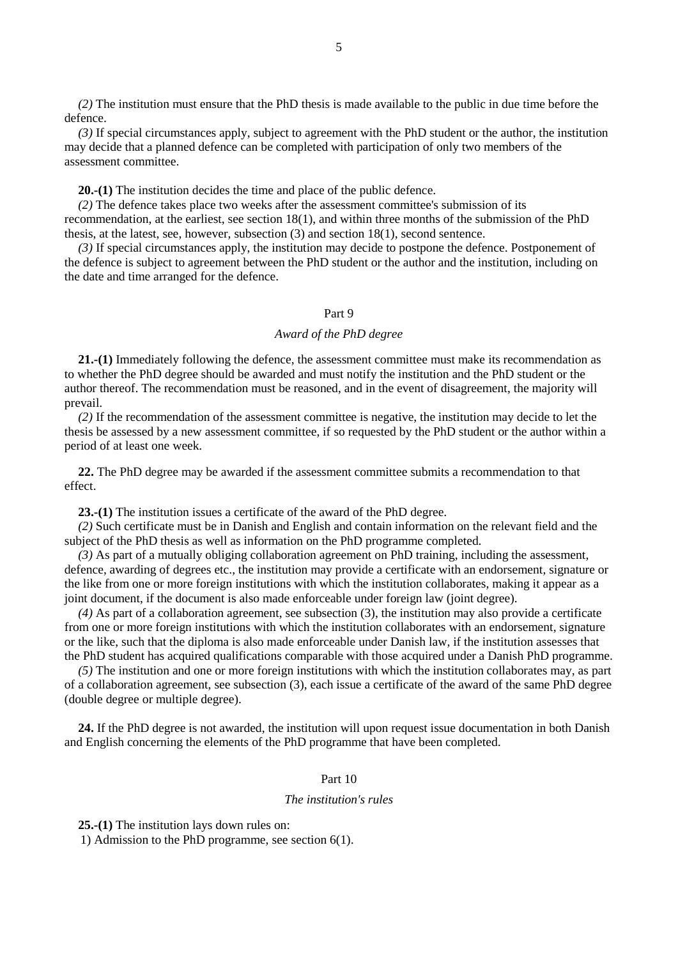*(2)* The institution must ensure that the PhD thesis is made available to the public in due time before the defence.

*(3)* If special circumstances apply, subject to agreement with the PhD student or the author, the institution may decide that a planned defence can be completed with participation of only two members of the assessment committee.

**20.-(1)** The institution decides the time and place of the public defence.

*(2)* The defence takes place two weeks after the assessment committee's submission of its recommendation, at the earliest, see section 18(1), and within three months of the submission of the PhD thesis, at the latest, see, however, subsection (3) and section 18(1), second sentence.

*(3)* If special circumstances apply, the institution may decide to postpone the defence. Postponement of the defence is subject to agreement between the PhD student or the author and the institution, including on the date and time arranged for the defence.

#### Part 9

## *Award of the PhD degree*

**21.-(1)** Immediately following the defence, the assessment committee must make its recommendation as to whether the PhD degree should be awarded and must notify the institution and the PhD student or the author thereof. The recommendation must be reasoned, and in the event of disagreement, the majority will prevail.

*(2)* If the recommendation of the assessment committee is negative, the institution may decide to let the thesis be assessed by a new assessment committee, if so requested by the PhD student or the author within a period of at least one week.

**22.** The PhD degree may be awarded if the assessment committee submits a recommendation to that effect.

**23.-(1)** The institution issues a certificate of the award of the PhD degree.

*(2)* Such certificate must be in Danish and English and contain information on the relevant field and the subject of the PhD thesis as well as information on the PhD programme completed.

*(3)* As part of a mutually obliging collaboration agreement on PhD training, including the assessment, defence, awarding of degrees etc., the institution may provide a certificate with an endorsement, signature or the like from one or more foreign institutions with which the institution collaborates, making it appear as a joint document, if the document is also made enforceable under foreign law (joint degree).

*(4)* As part of a collaboration agreement, see subsection (3), the institution may also provide a certificate from one or more foreign institutions with which the institution collaborates with an endorsement, signature or the like, such that the diploma is also made enforceable under Danish law, if the institution assesses that the PhD student has acquired qualifications comparable with those acquired under a Danish PhD programme.

*(5)* The institution and one or more foreign institutions with which the institution collaborates may, as part of a collaboration agreement, see subsection (3), each issue a certificate of the award of the same PhD degree (double degree or multiple degree).

**24.** If the PhD degree is not awarded, the institution will upon request issue documentation in both Danish and English concerning the elements of the PhD programme that have been completed.

## Part 10

#### *The institution's rules*

**25.-(1)** The institution lays down rules on:

1) Admission to the PhD programme, see section 6(1).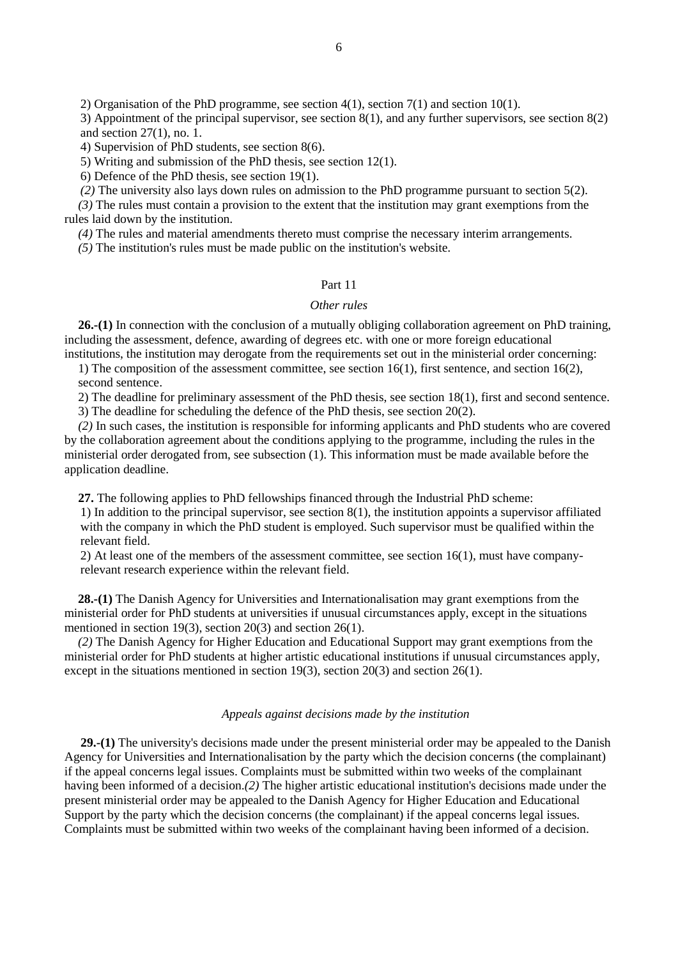3) Appointment of the principal supervisor, see section 8(1), and any further supervisors, see section 8(2) and section 27(1), no. 1.

4) Supervision of PhD students, see section 8(6).

5) Writing and submission of the PhD thesis, see section 12(1).

6) Defence of the PhD thesis, see section 19(1).

*(2)* The university also lays down rules on admission to the PhD programme pursuant to section 5(2).

*(3)* The rules must contain a provision to the extent that the institution may grant exemptions from the rules laid down by the institution.

*(4)* The rules and material amendments thereto must comprise the necessary interim arrangements.

*(5)* The institution's rules must be made public on the institution's website.

# Part 11

## *Other rules*

**26.-(1)** In connection with the conclusion of a mutually obliging collaboration agreement on PhD training, including the assessment, defence, awarding of degrees etc. with one or more foreign educational institutions, the institution may derogate from the requirements set out in the ministerial order concerning:

1) The composition of the assessment committee, see section 16(1), first sentence, and section 16(2), second sentence.

2) The deadline for preliminary assessment of the PhD thesis, see section 18(1), first and second sentence.

3) The deadline for scheduling the defence of the PhD thesis, see section 20(2).

*(2)* In such cases, the institution is responsible for informing applicants and PhD students who are covered by the collaboration agreement about the conditions applying to the programme, including the rules in the ministerial order derogated from, see subsection (1). This information must be made available before the application deadline.

**27.** The following applies to PhD fellowships financed through the Industrial PhD scheme:

1) In addition to the principal supervisor, see section 8(1), the institution appoints a supervisor affiliated with the company in which the PhD student is employed. Such supervisor must be qualified within the relevant field.

2) At least one of the members of the assessment committee, see section 16(1), must have companyrelevant research experience within the relevant field.

**28.-(1)** The Danish Agency for Universities and Internationalisation may grant exemptions from the ministerial order for PhD students at universities if unusual circumstances apply, except in the situations mentioned in section 19(3), section 20(3) and section 26(1).

*(2)* The Danish Agency for Higher Education and Educational Support may grant exemptions from the ministerial order for PhD students at higher artistic educational institutions if unusual circumstances apply, except in the situations mentioned in section 19(3), section 20(3) and section 26(1).

### *Appeals against decisions made by the institution*

**29.-(1)** The university's decisions made under the present ministerial order may be appealed to the Danish Agency for Universities and Internationalisation by the party which the decision concerns (the complainant) if the appeal concerns legal issues. Complaints must be submitted within two weeks of the complainant having been informed of a decision.*(2)* The higher artistic educational institution's decisions made under the present ministerial order may be appealed to the Danish Agency for Higher Education and Educational Support by the party which the decision concerns (the complainant) if the appeal concerns legal issues. Complaints must be submitted within two weeks of the complainant having been informed of a decision.